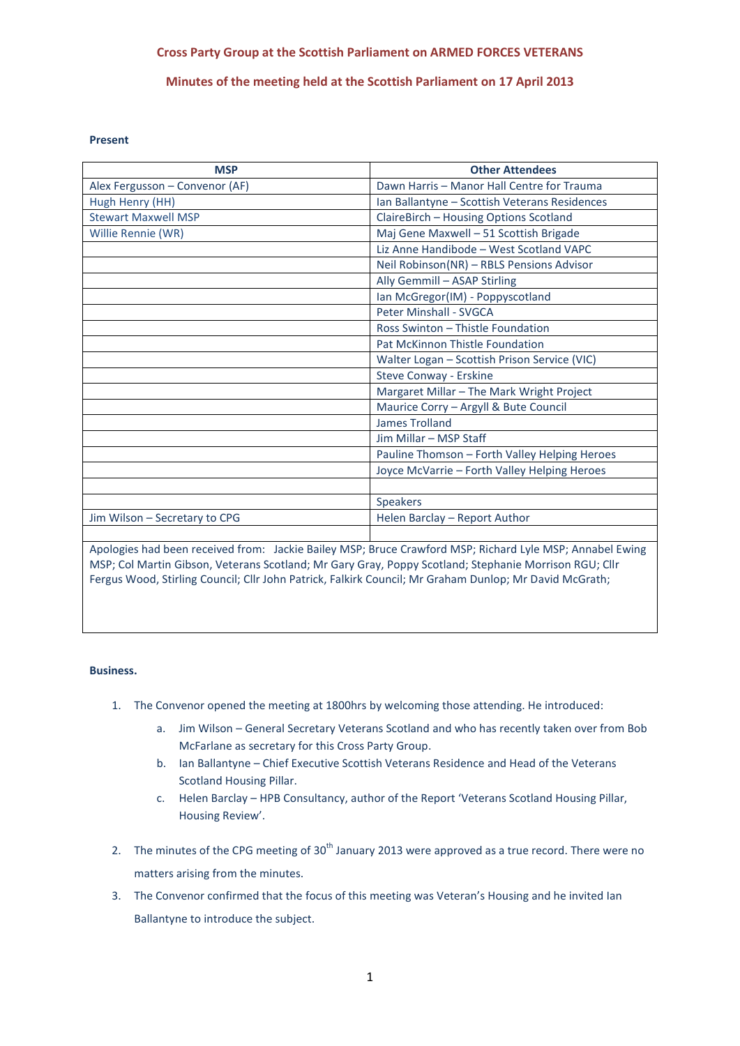# **Cross Party Group at the Scottish Parliament on ARMED FORCES VETERANS**

## **Minutes of the meeting held at the Scottish Parliament on 17 April 2013**

#### **Present**

| <b>MSP</b>                                                                                               | <b>Other Attendees</b>                        |
|----------------------------------------------------------------------------------------------------------|-----------------------------------------------|
| Alex Fergusson - Convenor (AF)                                                                           | Dawn Harris - Manor Hall Centre for Trauma    |
| Hugh Henry (HH)                                                                                          | Ian Ballantyne - Scottish Veterans Residences |
| <b>Stewart Maxwell MSP</b>                                                                               | ClaireBirch - Housing Options Scotland        |
| Willie Rennie (WR)                                                                                       | Maj Gene Maxwell - 51 Scottish Brigade        |
|                                                                                                          | Liz Anne Handibode - West Scotland VAPC       |
|                                                                                                          | Neil Robinson(NR) - RBLS Pensions Advisor     |
|                                                                                                          | Ally Gemmill - ASAP Stirling                  |
|                                                                                                          | Ian McGregor(IM) - Poppyscotland              |
|                                                                                                          | Peter Minshall - SVGCA                        |
|                                                                                                          | Ross Swinton - Thistle Foundation             |
|                                                                                                          | Pat McKinnon Thistle Foundation               |
|                                                                                                          | Walter Logan - Scottish Prison Service (VIC)  |
|                                                                                                          | Steve Conway - Erskine                        |
|                                                                                                          | Margaret Millar - The Mark Wright Project     |
|                                                                                                          | Maurice Corry - Argyll & Bute Council         |
|                                                                                                          | <b>James Trolland</b>                         |
|                                                                                                          | Jim Millar - MSP Staff                        |
|                                                                                                          | Pauline Thomson - Forth Valley Helping Heroes |
|                                                                                                          | Joyce McVarrie - Forth Valley Helping Heroes  |
|                                                                                                          |                                               |
|                                                                                                          | <b>Speakers</b>                               |
| Jim Wilson - Secretary to CPG                                                                            | Helen Barclay - Report Author                 |
|                                                                                                          |                                               |
| Apologies had been received from: Jackie Bailey MSP; Bruce Crawford MSP; Richard Lyle MSP; Annabel Ewing |                                               |

MSP; Col Martin Gibson, Veterans Scotland; Mr Gary Gray, Poppy Scotland; Stephanie Morrison RGU; Cllr Fergus Wood, Stirling Council; Cllr John Patrick, Falkirk Council; Mr Graham Dunlop; Mr David McGrath;

#### **Business.**

- 1. The Convenor opened the meeting at 1800hrs by welcoming those attending. He introduced:
	- a. Jim Wilson General Secretary Veterans Scotland and who has recently taken over from Bob McFarlane as secretary for this Cross Party Group.
	- b. Ian Ballantyne Chief Executive Scottish Veterans Residence and Head of the Veterans Scotland Housing Pillar.
	- c. Helen Barclay HPB Consultancy, author of the Report 'Veterans Scotland Housing Pillar, Housing Review'.
- 2. The minutes of the CPG meeting of 30<sup>th</sup> January 2013 were approved as a true record. There were no matters arising from the minutes.
- 3. The Convenor confirmed that the focus of this meeting was Veteran's Housing and he invited Ian Ballantyne to introduce the subject.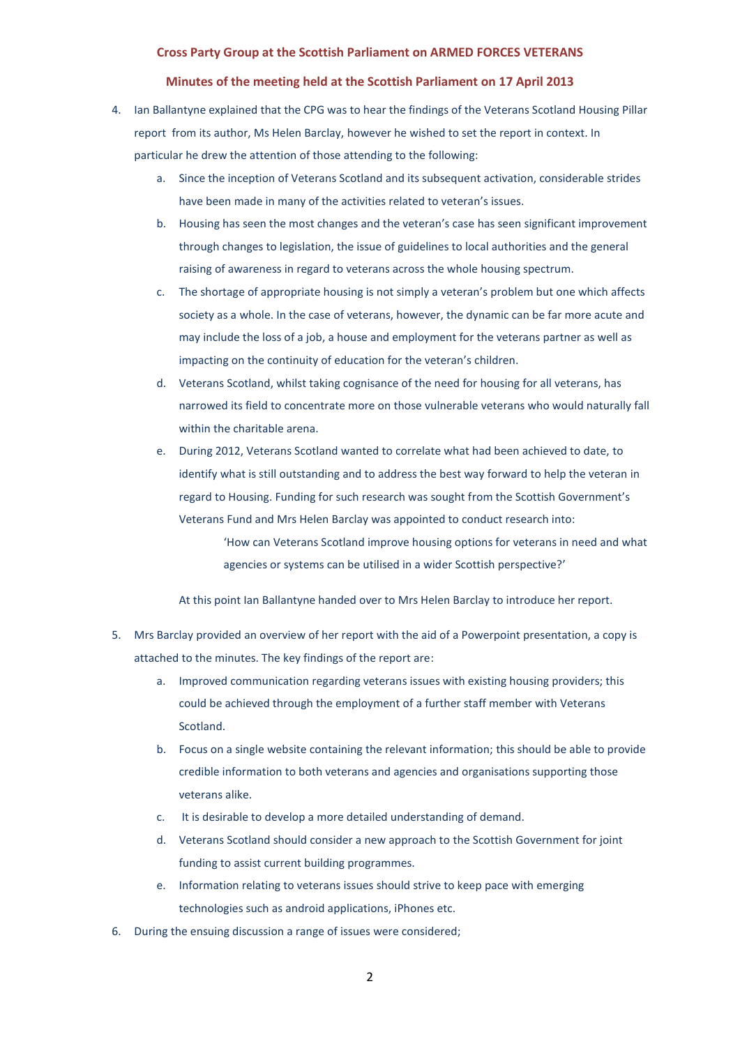#### **Cross Party Group at the Scottish Parliament on ARMED FORCES VETERANS**

#### **Minutes of the meeting held at the Scottish Parliament on 17 April 2013**

- 4. Ian Ballantyne explained that the CPG was to hear the findings of the Veterans Scotland Housing Pillar report from its author, Ms Helen Barclay, however he wished to set the report in context. In particular he drew the attention of those attending to the following:
	- a. Since the inception of Veterans Scotland and its subsequent activation, considerable strides have been made in many of the activities related to veteran's issues.
	- b. Housing has seen the most changes and the veteran's case has seen significant improvement through changes to legislation, the issue of guidelines to local authorities and the general raising of awareness in regard to veterans across the whole housing spectrum.
	- c. The shortage of appropriate housing is not simply a veteran's problem but one which affects society as a whole. In the case of veterans, however, the dynamic can be far more acute and may include the loss of a job, a house and employment for the veterans partner as well as impacting on the continuity of education for the veteran's children.
	- d. Veterans Scotland, whilst taking cognisance of the need for housing for all veterans, has narrowed its field to concentrate more on those vulnerable veterans who would naturally fall within the charitable arena.
	- e. During 2012, Veterans Scotland wanted to correlate what had been achieved to date, to identify what is still outstanding and to address the best way forward to help the veteran in regard to Housing. Funding for such research was sought from the Scottish Government's Veterans Fund and Mrs Helen Barclay was appointed to conduct research into:

'How can Veterans Scotland improve housing options for veterans in need and what agencies or systems can be utilised in a wider Scottish perspective?'

At this point Ian Ballantyne handed over to Mrs Helen Barclay to introduce her report.

- 5. Mrs Barclay provided an overview of her report with the aid of a Powerpoint presentation, a copy is attached to the minutes. The key findings of the report are:
	- a. Improved communication regarding veterans issues with existing housing providers; this could be achieved through the employment of a further staff member with Veterans Scotland.
	- b. Focus on a single website containing the relevant information; this should be able to provide credible information to both veterans and agencies and organisations supporting those veterans alike.
	- c. It is desirable to develop a more detailed understanding of demand.
	- d. Veterans Scotland should consider a new approach to the Scottish Government for joint funding to assist current building programmes.
	- e. Information relating to veterans issues should strive to keep pace with emerging technologies such as android applications, iPhones etc.
- 6. During the ensuing discussion a range of issues were considered;